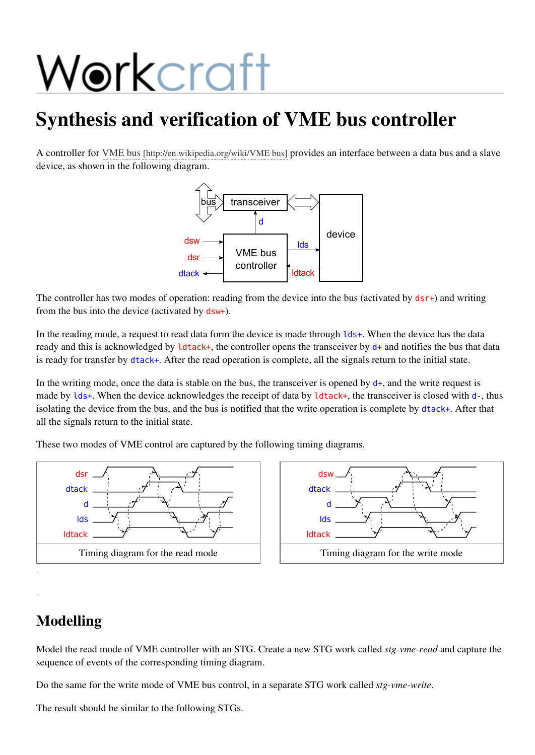# Workcraft

## Synthesis and verification of VME bus controller

A controller for VME bus [\[http://en.wikipedia.org/wiki/VME](http://en.wikipedia.org/wiki/VME%20bus) bus] provides an interface between a data bus and a slave device, as shown in the following diagram.



The controller has two modes of operation: reading from the device into the bus (activated by  $dsr+$ ) and writing from the bus into the device (activated by dsw+).

In the reading mode, a request to read data form the device is made through lds+. When the device has the data ready and this is acknowledged by **ldtack+**, the controller opens the transceiver by  $d+$  and notifies the bus that data is ready for transfer by dtack+. After the read operation is complete, all the signals return to the initial state.

In the writing mode, once the data is stable on the bus, the transceiver is opened by  $d_{+}$ , and the write request is made by lds+. When the device acknowledges the receipt of data by ldtack+, the transceiver is closed with d-, thus isolating the device from the bus, and the bus is notified that the write operation is complete by dtack+. After that all the signals return to the initial state.

These two modes of VME control are captured by the following timing diagrams.



## Modelling

.

Model the read mode of VME controller with an STG. Create a new STG work called *stg-vme-read* and capture the sequence of events of the corresponding timing diagram.

Do the same for the write mode of VME bus control, in a separate STG work called *stg-vme-write*.

The result should be similar to the following STGs.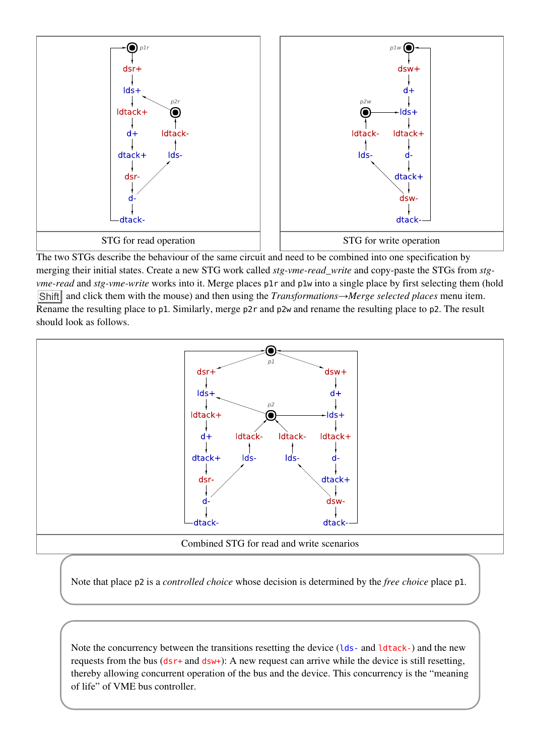

The two STGs describe the behaviour of the same circuit and need to be combined into one specification by merging their initial states. Create a new STG work called *stg-vme-read\_write* and copy-paste the STGs from *stgvme-read* and *stg-vme-write* works into it. Merge places p1r and p1w into a single place by first selecting them (hold Shift and click them with the mouse) and then using the *Transformations→Merge selected places* menu item. Rename the resulting place to p1. Similarly, merge p2r and p2w and rename the resulting place to p2. The result should look as follows.



Note that place p2 is a *controlled choice* whose decision is determined by the *free choice* place p1.

Note the concurrency between the transitions resetting the device (lds-and ldtack-) and the new requests from the bus ( $dsr+$  and  $dsw+$ ): A new request can arrive while the device is still resetting, thereby allowing concurrent operation of the bus and the device. This concurrency is the "meaning of life" of VME bus controller.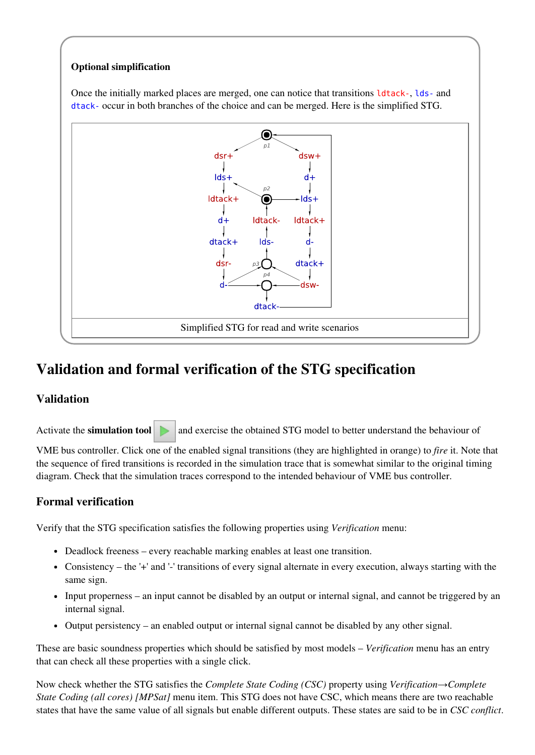#### Optional simplification

Once the initially marked places are merged, one can notice that transitions ldtack-, lds-and dtack-occur in both branches of the choice and can be merged. Here is the simplified STG.



## Validation and formal verification of the STG specification

#### Validation

Activate the **simulation tool**  $\Box$  and exercise the obtained STG model to better understand the behaviour of

VME bus controller. Click one of the enabled signal transitions (they are highlighted in orange) to *fire* it. Note that the sequence of fired transitions is recorded in the simulation trace that is somewhat similar to the original timing diagram. Check that the simulation traces correspond to the intended behaviour of VME bus controller.

#### Formal verification

Verify that the STG specification satisfies the following properties using *Verification* menu:

- Deadlock freeness every reachable marking enables at least one transition.
- Consistency the '+' and '-' transitions of every signal alternate in every execution, always starting with the same sign.
- Input properness an input cannot be disabled by an output or internal signal, and cannot be triggered by an internal signal.
- Output persistency an enabled output or internal signal cannot be disabled by any other signal.  $\bullet$

These are basic soundness properties which should be satisfied by most models – *Verification* menu has an entry that can check all these properties with a single click.

Now check whether the STG satisfies the *Complete State Coding (CSC)* property using *Verification→Complete State Coding (all cores) [MPSat]* menu item. This STG does not have CSC, which means there are two reachable states that have the same value of all signals but enable different outputs. These states are said to be in *CSC conflict*.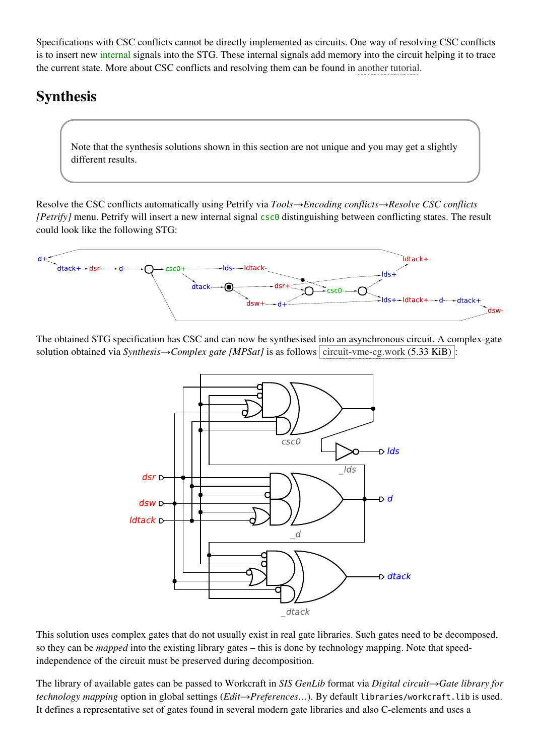Specifications with CSC conflicts cannot be directly implemented as circuits. One way of resolving CSC conflicts is to insert new internal signals into the STG. These internal signals add memory into the circuit helping it to trace the current state. More about CSC conflicts and resolving them can be found in [another](http://www.workcraft.org/tutorial/synthesis/csc-resolution/start) tutorial.

## Synthesis

Note that the synthesis solutions shown in this section are not unique and you may get a slightly different results.

Resolve the CSC conflicts automatically using Petrify via *Tools→Encoding conflicts→Resolve CSC conflicts [Petrify]* menu. Petrify will insert a new internal signal csc0 distinguishing between conflicting states. The result could look like the following STG:



The obtained STG specification has CSC and can now be synthesised into an asynchronous circuit. A complex-gate solution obtained via *Synthesis*→*Complex gate* [MPSat] is as follows [circuit-vme-cg.work](http://www.workcraft.org/_media/tutorial/synthesis/vme/circuit-vme-cg.work) (5.33 KiB) :



This solution uses complex gates that do not usually exist in real gate libraries. Such gates need to be decomposed, so they can be *mapped* into the existing library gates – this is done by technology mapping. Note that speedindependence of the circuit must be preserved during decomposition.

The library of available gates can be passed to Workcraft in *SIS GenLib* format via *Digital circuit→Gate library for technology mapping* option in global settings (*Edit→Preferences…*). By default libraries/workcraft.libis used. It defines a representative set of gates found in several modern gate libraries and also C-elements and uses a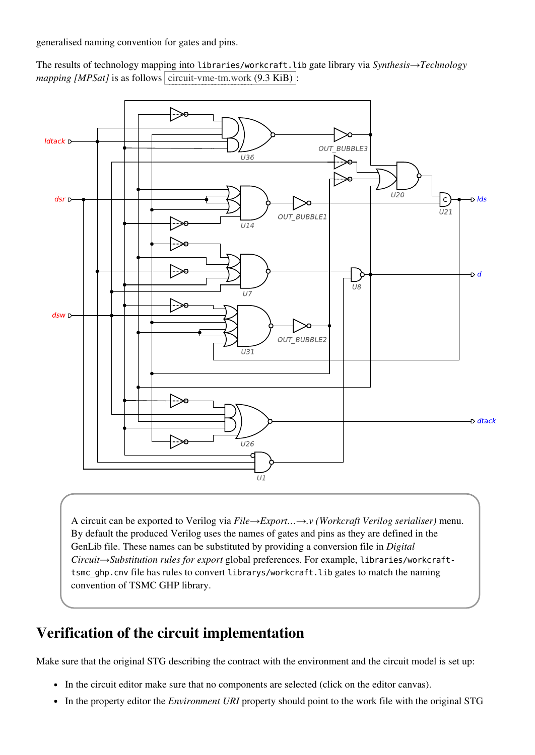generalised naming convention for gates and pins.

The results of technology mapping into libraries/workcraft.libgate library via *Synthesis→Technology mapping* [*MPSat*] is as follows [circuit-vme-tm.work](http://www.workcraft.org/_media/tutorial/synthesis/vme/circuit-vme-tm.work)  $(9.3 \text{ KiB})$ :



A circuit can be exported to Verilog via *File→Export…→.v (Workcraft Verilog serialiser)* menu. By default the produced Verilog uses the names of gates and pins as they are defined in the GenLib file. These names can be substituted by providing a conversion file in *Digital Circuit→Substitution rules for export* global preferences. For example, libraries/workcrafttsmc\_ghp.cnv file has rules to convert librarys/workcraft.lib gates to match the naming convention of TSMC GHP library.

### Verification of the circuit implementation

Make sure that the original STG describing the contract with the environment and the circuit model is set up:

- In the circuit editor make sure that no components are selected (click on the editor canvas).
- In the property editor the *Environment URI* property should point to the work file with the original STG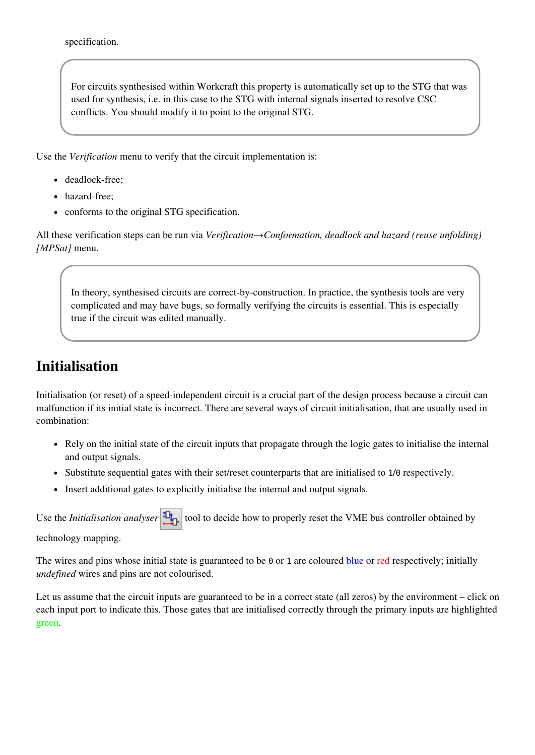specification.

For circuits synthesised within Workcraft this property is automatically set up to the STG that was used for synthesis, i.e. in this case to the STG with internal signals inserted to resolve CSC conflicts. You should modify it to point to the original STG.

Use the *Verification* menu to verify that the circuit implementation is:

- deadlock-free;
- hazard-free:
- conforms to the original STG specification.

All these verification steps can be run via *Verification→Conformation, deadlock and hazard (reuse unfolding) [MPSat]* menu.

In theory, synthesised circuits are correct-by-construction. In practice, the synthesis tools are very complicated and may have bugs, so formally verifying the circuits is essential. This is especially true if the circuit was edited manually.

## Initialisation

Initialisation (or reset) of a speed-independent circuit is a crucial part of the design process because a circuit can malfunction if its initial state is incorrect. There are several ways of circuit initialisation, that are usually used in combination:

- Rely on the initial state of the circuit inputs that propagate through the logic gates to initialise the internal and output signals.
- Substitute sequential gates with their set/reset counterparts that are initialised to 1/0 respectively.
- Insert additional gates to explicitly initialise the internal and output signals.

Use the *Initialisation analyser*  $\frac{d}{d\theta}$  tool to decide how to properly reset the VME bus controller obtained by

technology mapping.

The wires and pins whose initial state is guaranteed to be  $\theta$  or 1 are coloured blue or red respectively; initially *undefined* wires and pins are not colourised.

Let us assume that the circuit inputs are guaranteed to be in a correct state (all zeros) by the environment – click on each input port to indicate this. Those gates that are initialised correctly through the primary inputs are highlighted green.